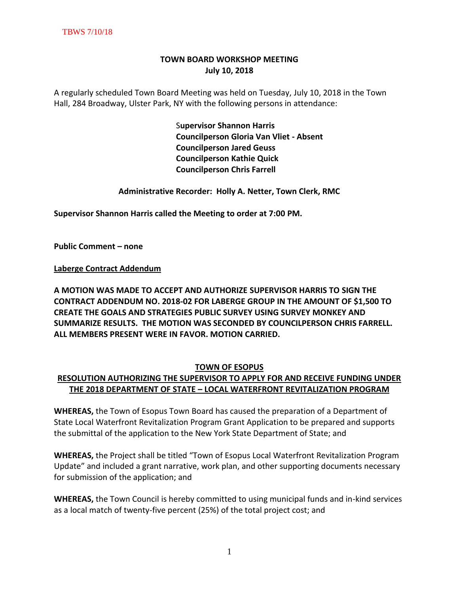# **TOWN BOARD WORKSHOP MEETING July 10, 2018**

A regularly scheduled Town Board Meeting was held on Tuesday, July 10, 2018 in the Town Hall, 284 Broadway, Ulster Park, NY with the following persons in attendance:

> S**upervisor Shannon Harris Councilperson Gloria Van Vliet - Absent Councilperson Jared Geuss Councilperson Kathie Quick Councilperson Chris Farrell**

**Administrative Recorder: Holly A. Netter, Town Clerk, RMC**

**Supervisor Shannon Harris called the Meeting to order at 7:00 PM.** 

**Public Comment – none**

**Laberge Contract Addendum**

**A MOTION WAS MADE TO ACCEPT AND AUTHORIZE SUPERVISOR HARRIS TO SIGN THE CONTRACT ADDENDUM NO. 2018-02 FOR LABERGE GROUP IN THE AMOUNT OF \$1,500 TO CREATE THE GOALS AND STRATEGIES PUBLIC SURVEY USING SURVEY MONKEY AND SUMMARIZE RESULTS. THE MOTION WAS SECONDED BY COUNCILPERSON CHRIS FARRELL. ALL MEMBERS PRESENT WERE IN FAVOR. MOTION CARRIED.** 

## **TOWN OF ESOPUS**

# **RESOLUTION AUTHORIZING THE SUPERVISOR TO APPLY FOR AND RECEIVE FUNDING UNDER THE 2018 DEPARTMENT OF STATE – LOCAL WATERFRONT REVITALIZATION PROGRAM**

**WHEREAS,** the Town of Esopus Town Board has caused the preparation of a Department of State Local Waterfront Revitalization Program Grant Application to be prepared and supports the submittal of the application to the New York State Department of State; and

**WHEREAS,** the Project shall be titled "Town of Esopus Local Waterfront Revitalization Program Update" and included a grant narrative, work plan, and other supporting documents necessary for submission of the application; and

**WHEREAS,** the Town Council is hereby committed to using municipal funds and in-kind services as a local match of twenty-five percent (25%) of the total project cost; and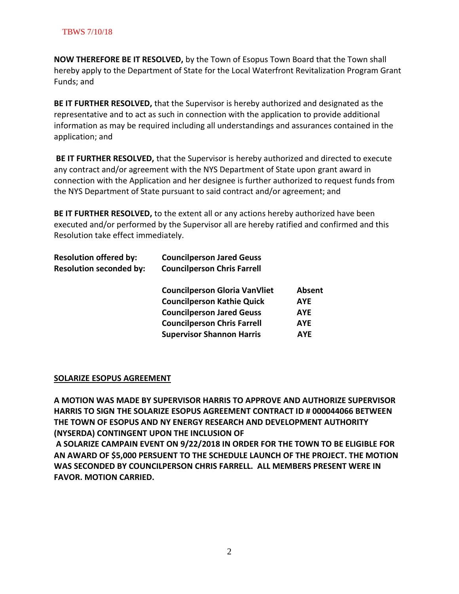**NOW THEREFORE BE IT RESOLVED,** by the Town of Esopus Town Board that the Town shall hereby apply to the Department of State for the Local Waterfront Revitalization Program Grant Funds; and

**BE IT FURTHER RESOLVED,** that the Supervisor is hereby authorized and designated as the representative and to act as such in connection with the application to provide additional information as may be required including all understandings and assurances contained in the application; and

**BE IT FURTHER RESOLVED,** that the Supervisor is hereby authorized and directed to execute any contract and/or agreement with the NYS Department of State upon grant award in connection with the Application and her designee is further authorized to request funds from the NYS Department of State pursuant to said contract and/or agreement; and

**BE IT FURTHER RESOLVED,** to the extent all or any actions hereby authorized have been executed and/or performed by the Supervisor all are hereby ratified and confirmed and this Resolution take effect immediately.

| <b>Resolution offered by:</b>  | <b>Councilperson Jared Geuss</b>     |            |
|--------------------------------|--------------------------------------|------------|
| <b>Resolution seconded by:</b> | <b>Councilperson Chris Farrell</b>   |            |
|                                | <b>Councilperson Gloria VanVliet</b> | Absent     |
|                                | <b>Councilperson Kathie Quick</b>    | <b>AYE</b> |
|                                | <b>Councilperson Jared Geuss</b>     | <b>AYE</b> |
|                                | <b>Councilperson Chris Farrell</b>   | <b>AYE</b> |
|                                | <b>Supervisor Shannon Harris</b>     | <b>AYE</b> |
|                                |                                      |            |

## **SOLARIZE ESOPUS AGREEMENT**

**A MOTION WAS MADE BY SUPERVISOR HARRIS TO APPROVE AND AUTHORIZE SUPERVISOR HARRIS TO SIGN THE SOLARIZE ESOPUS AGREEMENT CONTRACT ID # 000044066 BETWEEN THE TOWN OF ESOPUS AND NY ENERGY RESEARCH AND DEVELOPMENT AUTHORITY (NYSERDA) CONTINGENT UPON THE INCLUSION OF**

**A SOLARIZE CAMPAIN EVENT ON 9/22/2018 IN ORDER FOR THE TOWN TO BE ELIGIBLE FOR AN AWARD OF \$5,000 PERSUENT TO THE SCHEDULE LAUNCH OF THE PROJECT. THE MOTION WAS SECONDED BY COUNCILPERSON CHRIS FARRELL. ALL MEMBERS PRESENT WERE IN FAVOR. MOTION CARRIED.**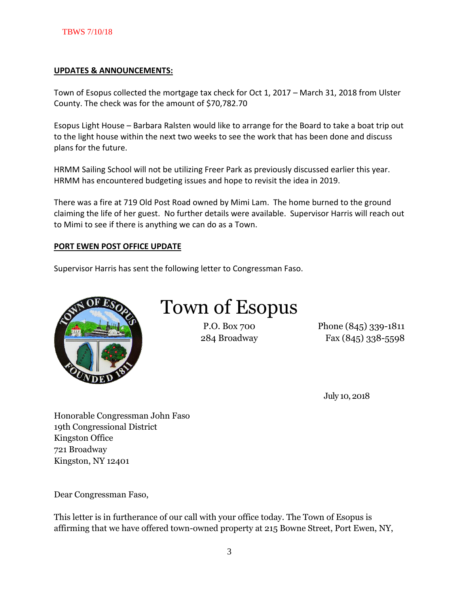#### **UPDATES & ANNOUNCEMENTS:**

Town of Esopus collected the mortgage tax check for Oct 1, 2017 – March 31, 2018 from Ulster County. The check was for the amount of \$70,782.70

Esopus Light House – Barbara Ralsten would like to arrange for the Board to take a boat trip out to the light house within the next two weeks to see the work that has been done and discuss plans for the future.

HRMM Sailing School will not be utilizing Freer Park as previously discussed earlier this year. HRMM has encountered budgeting issues and hope to revisit the idea in 2019.

There was a fire at 719 Old Post Road owned by Mimi Lam. The home burned to the ground claiming the life of her guest. No further details were available. Supervisor Harris will reach out to Mimi to see if there is anything we can do as a Town.

#### **PORT EWEN POST OFFICE UPDATE**

Supervisor Harris has sent the following letter to Congressman Faso.



# Town of Esopus

P.O. Box 700 Phone (845) 339-1811 284 Broadway Fax (845) 338-5598

July 10, 2018

Honorable Congressman John Faso 19th Congressional District Kingston Office 721 Broadway Kingston, NY 12401

Dear Congressman Faso,

This letter is in furtherance of our call with your office today. The Town of Esopus is affirming that we have offered town-owned property at 215 Bowne Street, Port Ewen, NY,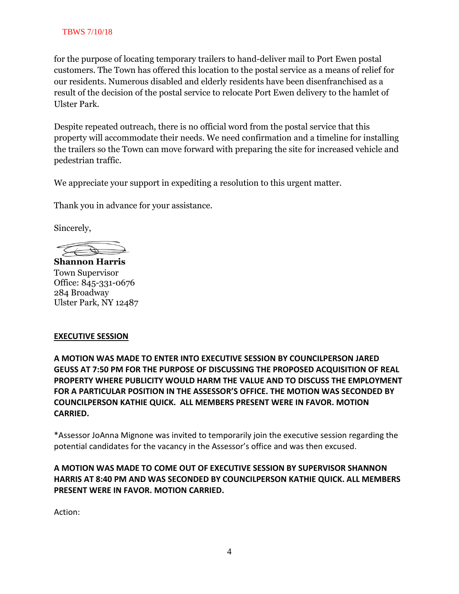## TBWS 7/10/18

for the purpose of locating temporary trailers to hand-deliver mail to Port Ewen postal customers. The Town has offered this location to the postal service as a means of relief for our residents. Numerous disabled and elderly residents have been disenfranchised as a result of the decision of the postal service to relocate Port Ewen delivery to the hamlet of Ulster Park.

Despite repeated outreach, there is no official word from the postal service that this property will accommodate their needs. We need confirmation and a timeline for installing the trailers so the Town can move forward with preparing the site for increased vehicle and pedestrian traffic.

We appreciate your support in expediting a resolution to this urgent matter.

Thank you in advance for your assistance.

Sincerely,

**Shannon Harris** Town Supervisor Office: 845-331-0676 284 Broadway Ulster Park, NY 12487

## **EXECUTIVE SESSION**

**A MOTION WAS MADE TO ENTER INTO EXECUTIVE SESSION BY COUNCILPERSON JARED GEUSS AT 7:50 PM FOR THE PURPOSE OF DISCUSSING THE PROPOSED ACQUISITION OF REAL PROPERTY WHERE PUBLICITY WOULD HARM THE VALUE AND TO DISCUSS THE EMPLOYMENT FOR A PARTICULAR POSITION IN THE ASSESSOR'S OFFICE. THE MOTION WAS SECONDED BY COUNCILPERSON KATHIE QUICK. ALL MEMBERS PRESENT WERE IN FAVOR. MOTION CARRIED.**

\*Assessor JoAnna Mignone was invited to temporarily join the executive session regarding the potential candidates for the vacancy in the Assessor's office and was then excused.

**A MOTION WAS MADE TO COME OUT OF EXECUTIVE SESSION BY SUPERVISOR SHANNON HARRIS AT 8:40 PM AND WAS SECONDED BY COUNCILPERSON KATHIE QUICK. ALL MEMBERS PRESENT WERE IN FAVOR. MOTION CARRIED.** 

Action: